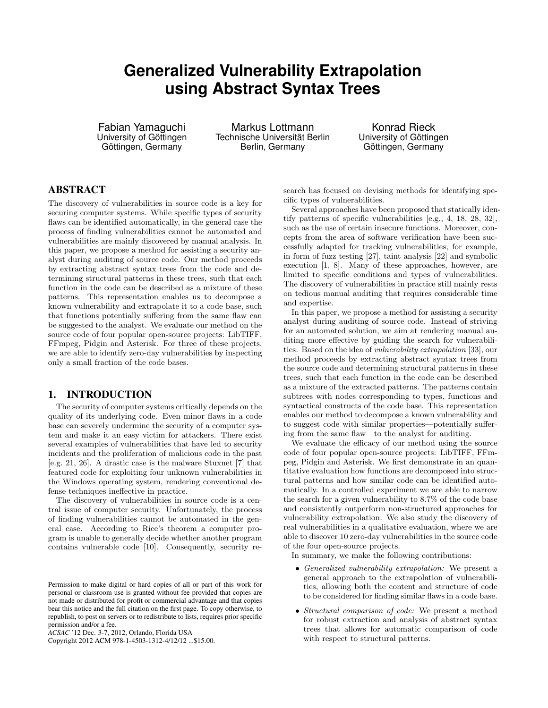# **Generalized Vulnerability Extrapolation using Abstract Syntax Trees**

Fabian Yamaguchi University of Göttingen Göttingen, Germany

Markus Lottmann Technische Universität Berlin Berlin, Germany

Konrad Rieck University of Göttingen Göttingen, Germany

# ABSTRACT

The discovery of vulnerabilities in source code is a key for securing computer systems. While specific types of security flaws can be identified automatically, in the general case the process of finding vulnerabilities cannot be automated and vulnerabilities are mainly discovered by manual analysis. In this paper, we propose a method for assisting a security analyst during auditing of source code. Our method proceeds by extracting abstract syntax trees from the code and determining structural patterns in these trees, such that each function in the code can be described as a mixture of these patterns. This representation enables us to decompose a known vulnerability and extrapolate it to a code base, such that functions potentially suffering from the same flaw can be suggested to the analyst. We evaluate our method on the source code of four popular open-source projects: LibTIFF, FFmpeg, Pidgin and Asterisk. For three of these projects, we are able to identify zero-day vulnerabilities by inspecting only a small fraction of the code bases.

# 1. INTRODUCTION

The security of computer systems critically depends on the quality of its underlying code. Even minor flaws in a code base can severely undermine the security of a computer system and make it an easy victim for attackers. There exist several examples of vulnerabilities that have led to security incidents and the proliferation of malicious code in the past [e.g. 21, 26]. A drastic case is the malware Stuxnet [7] that featured code for exploiting four unknown vulnerabilities in the Windows operating system, rendering conventional defense techniques ineffective in practice.

The discovery of vulnerabilities in source code is a central issue of computer security. Unfortunately, the process of finding vulnerabilities cannot be automated in the general case. According to Rice's theorem a computer program is unable to generally decide whether another program contains vulnerable code [10]. Consequently, security re-

Copyright 2012 ACM 978-1-4503-1312-4/12/12 ...\$15.00.

search has focused on devising methods for identifying specific types of vulnerabilities.

Several approaches have been proposed that statically identify patterns of specific vulnerabilities [e.g., 4, 18, 28, 32], such as the use of certain insecure functions. Moreover, concepts from the area of software verification have been successfully adapted for tracking vulnerabilities, for example, in form of fuzz testing [27], taint analysis [22] and symbolic execution [1, 8]. Many of these approaches, however, are limited to specific conditions and types of vulnerabilities. The discovery of vulnerabilities in practice still mainly rests on tedious manual auditing that requires considerable time and expertise.

In this paper, we propose a method for assisting a security analyst during auditing of source code. Instead of striving for an automated solution, we aim at rendering manual auditing more effective by guiding the search for vulnerabilities. Based on the idea of vulnerability extrapolation [33], our method proceeds by extracting abstract syntax trees from the source code and determining structural patterns in these trees, such that each function in the code can be described as a mixture of the extracted patterns. The patterns contain subtrees with nodes corresponding to types, functions and syntactical constructs of the code base. This representation enables our method to decompose a known vulnerability and to suggest code with similar properties—potentially suffering from the same flaw—to the analyst for auditing.

We evaluate the efficacy of our method using the source code of four popular open-source projects: LibTIFF, FFmpeg, Pidgin and Asterisk. We first demonstrate in an quantitative evaluation how functions are decomposed into structural patterns and how similar code can be identified automatically. In a controlled experiment we are able to narrow the search for a given vulnerability to 8.7% of the code base and consistently outperform non-structured approaches for vulnerability extrapolation. We also study the discovery of real vulnerabilities in a qualitative evaluation, where we are able to discover 10 zero-day vulnerabilities in the source code of the four open-source projects.

In summary, we make the following contributions:

- Generalized vulnerability extrapolation: We present a general approach to the extrapolation of vulnerabilities, allowing both the content and structure of code to be considered for finding similar flaws in a code base.
- *Structural comparison of code:* We present a method for robust extraction and analysis of abstract syntax trees that allows for automatic comparison of code with respect to structural patterns.

Permission to make digital or hard copies of all or part of this work for personal or classroom use is granted without fee provided that copies are not made or distributed for profit or commercial advantage and that copies bear this notice and the full citation on the first page. To copy otherwise, to republish, to post on servers or to redistribute to lists, requires prior specific permission and/or a fee.

*ACSAC* '12 Dec. 3-7, 2012, Orlando, Florida USA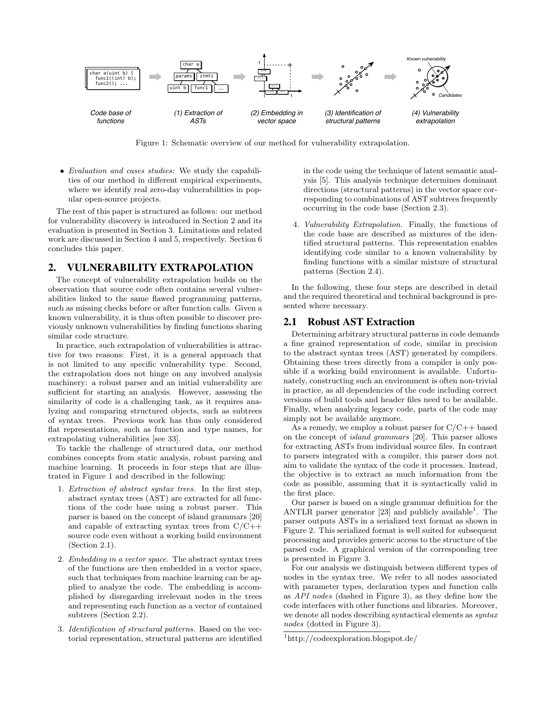

Figure 1: Schematic overview of our method for vulnerability extrapolation.

• Evaluation and cases studies: We study the capabilities of our method in different empirical experiments, where we identify real zero-day vulnerabilities in popular open-source projects.

The rest of this paper is structured as follows: our method for vulnerability discovery is introduced in Section 2 and its evaluation is presented in Section 3. Limitations and related work are discussed in Section 4 and 5, respectively. Section 6 concludes this paper.

#### 2. VULNERABILITY EXTRAPOLATION

The concept of vulnerability extrapolation builds on the observation that source code often contains several vulnerabilities linked to the same flawed programming patterns, such as missing checks before or after function calls. Given a known vulnerability, it is thus often possible to discover previously unknown vulnerabilities by finding functions sharing similar code structure.

In practice, such extrapolation of vulnerabilities is attractive for two reasons: First, it is a general approach that is not limited to any specific vulnerability type. Second, the extrapolation does not hinge on any involved analysis machinery: a robust parser and an initial vulnerability are sufficient for starting an analysis. However, assessing the similarity of code is a challenging task, as it requires analyzing and comparing structured objects, such as subtrees of syntax trees. Previous work has thus only considered flat representations, such as function and type names, for extrapolating vulnerabilities [see 33].

To tackle the challenge of structured data, our method combines concepts from static analysis, robust parsing and machine learning. It proceeds in four steps that are illustrated in Figure 1 and described in the following:

- 1. Extraction of abstract syntax trees. In the first step, abstract syntax trees (AST) are extracted for all functions of the code base using a robust parser. This parser is based on the concept of island grammars [20] and capable of extracting syntax trees from  $C/C++$ source code even without a working build environment (Section 2.1).
- 2. Embedding in a vector space. The abstract syntax trees of the functions are then embedded in a vector space, such that techniques from machine learning can be applied to analyze the code. The embedding is accomplished by disregarding irrelevant nodes in the trees and representing each function as a vector of contained subtrees (Section 2.2).
- 3. Identification of structural patterns. Based on the vectorial representation, structural patterns are identified

in the code using the technique of latent semantic analysis [5]. This analysis technique determines dominant directions (structural patterns) in the vector space corresponding to combinations of AST subtrees frequently occurring in the code base (Section 2.3).

4. Vulnerability Extrapolation. Finally, the functions of the code base are described as mixtures of the identified structural patterns. This representation enables identifying code similar to a known vulnerability by finding functions with a similar mixture of structural patterns (Section 2.4).

In the following, these four steps are described in detail and the required theoretical and technical background is presented where necessary.

#### 2.1 Robust AST Extraction

Determining arbitrary structural patterns in code demands a fine grained representation of code, similar in precision to the abstract syntax trees (AST) generated by compilers. Obtaining these trees directly from a compiler is only possible if a working build environment is available. Unfortunately, constructing such an environment is often non-trivial in practice, as all dependencies of the code including correct versions of build tools and header files need to be available. Finally, when analyzing legacy code, parts of the code may simply not be available anymore.

As a remedy, we employ a robust parser for  $C/C++$  based on the concept of island grammars [20]. This parser allows for extracting ASTs from individual source files. In contrast to parsers integrated with a compiler, this parser does not aim to validate the syntax of the code it processes. Instead, the objective is to extract as much information from the code as possible, assuming that it is syntactically valid in the first place.

Our parser is based on a single grammar definition for the ANTLR parser generator  $[23]$  and publicly available<sup>1</sup>. The parser outputs ASTs in a serialized text format as shown in Figure 2. This serialized format is well suited for subsequent processing and provides generic access to the structure of the parsed code. A graphical version of the corresponding tree is presented in Figure 3.

For our analysis we distinguish between different types of nodes in the syntax tree. We refer to all nodes associated with parameter types, declaration types and function calls as API nodes (dashed in Figure 3), as they define how the code interfaces with other functions and libraries. Moreover, we denote all nodes describing syntactical elements as  $syntax$ nodes (dotted in Figure 3).

<sup>1</sup>http://codeexploration.blogspot.de/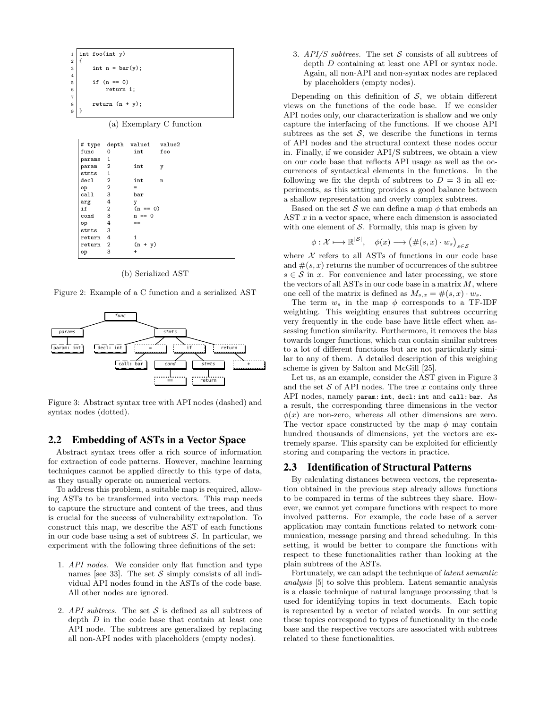

(a) Exemplary C function

|        |                | # type depth value1 | value2 |
|--------|----------------|---------------------|--------|
| func   | $\Omega$       | int                 | foo    |
| params | 1              |                     |        |
| param  | $\overline{2}$ | int                 | у      |
| stmts  | $\mathbf{1}$   |                     |        |
| dec1   | $\overline{2}$ | int                 | n      |
| op     | 2              | $=$                 |        |
| call   | 3              | bar                 |        |
| arg    | 4              | y                   |        |
| if     | $\overline{2}$ | $(n == 0)$          |        |
| cond   | 3              | $n == 0$            |        |
| op     | 4              | $=$                 |        |
| stmts  | 3              |                     |        |
| return | $\overline{4}$ | 1                   |        |
| return | $\overline{2}$ | $(n + y)$           |        |
| op     | 3              | +                   |        |
|        |                |                     |        |

(b) Serialized AST

Figure 2: Example of a C function and a serialized AST



Figure 3: Abstract syntax tree with API nodes (dashed) and syntax nodes (dotted).

#### 2.2 Embedding of ASTs in a Vector Space

Abstract syntax trees offer a rich source of information for extraction of code patterns. However, machine learning techniques cannot be applied directly to this type of data, as they usually operate on numerical vectors.

To address this problem, a suitable map is required, allowing ASTs to be transformed into vectors. This map needs to capture the structure and content of the trees, and thus is crucial for the success of vulnerability extrapolation. To construct this map, we describe the AST of each functions in our code base using a set of subtrees  $S$ . In particular, we experiment with the following three definitions of the set:

- 1. API nodes. We consider only flat function and type names [see 33]. The set  $S$  simply consists of all individual API nodes found in the ASTs of the code base. All other nodes are ignored.
- 2. API subtrees. The set  $S$  is defined as all subtrees of depth  $D$  in the code base that contain at least one API node. The subtrees are generalized by replacing all non-API nodes with placeholders (empty nodes).

3.  $API/S$  subtrees. The set S consists of all subtrees of depth D containing at least one API or syntax node. Again, all non-API and non-syntax nodes are replaced by placeholders (empty nodes).

Depending on this definition of  $S$ , we obtain different views on the functions of the code base. If we consider API nodes only, our characterization is shallow and we only capture the interfacing of the functions. If we choose API subtrees as the set  $S$ , we describe the functions in terms of API nodes and the structural context these nodes occur in. Finally, if we consider API/S subtrees, we obtain a view on our code base that reflects API usage as well as the occurrences of syntactical elements in the functions. In the following we fix the depth of subtrees to  $D = 3$  in all experiments, as this setting provides a good balance between a shallow representation and overly complex subtrees.

Based on the set S we can define a map  $\phi$  that embeds an AST  $x$  in a vector space, where each dimension is associated with one element of  $S$ . Formally, this map is given by

$$
\phi: \mathcal{X} \longmapsto \mathbb{R}^{|\mathcal{S}|}, \quad \phi(x) \longrightarrow (\#(s, x) \cdot w_s)_{s \in \mathcal{S}}
$$

where  $X$  refers to all ASTs of functions in our code base and  $\#(s, x)$  returns the number of occurrences of the subtree  $s \in \mathcal{S}$  in x. For convenience and later processing, we store the vectors of all ASTs in our code base in a matrix  $M$ , where one cell of the matrix is defined as  $M_{s,x} = \#(s,x) \cdot w_s$ .

The term  $w_s$  in the map  $\phi$  corresponds to a TF-IDF weighting. This weighting ensures that subtrees occurring very frequently in the code base have little effect when assessing function similarity. Furthermore, it removes the bias towards longer functions, which can contain similar subtrees to a lot of different functions but are not particularly similar to any of them. A detailed description of this weighing scheme is given by Salton and McGill [25].

Let us, as an example, consider the AST given in Figure 3 and the set  $S$  of API nodes. The tree  $x$  contains only three API nodes, namely param: int, decl: int and call: bar. As a result, the corresponding three dimensions in the vector  $\phi(x)$  are non-zero, whereas all other dimensions are zero. The vector space constructed by the map  $\phi$  may contain hundred thousands of dimensions, yet the vectors are extremely sparse. This sparsity can be exploited for efficiently storing and comparing the vectors in practice.

# 2.3 Identification of Structural Patterns

By calculating distances between vectors, the representation obtained in the previous step already allows functions to be compared in terms of the subtrees they share. However, we cannot yet compare functions with respect to more involved patterns. For example, the code base of a server application may contain functions related to network communication, message parsing and thread scheduling. In this setting, it would be better to compare the functions with respect to these functionalities rather than looking at the plain subtrees of the ASTs.

Fortunately, we can adapt the technique of latent semantic analysis [5] to solve this problem. Latent semantic analysis is a classic technique of natural language processing that is used for identifying topics in text documents. Each topic is represented by a vector of related words. In our setting these topics correspond to types of functionality in the code base and the respective vectors are associated with subtrees related to these functionalities.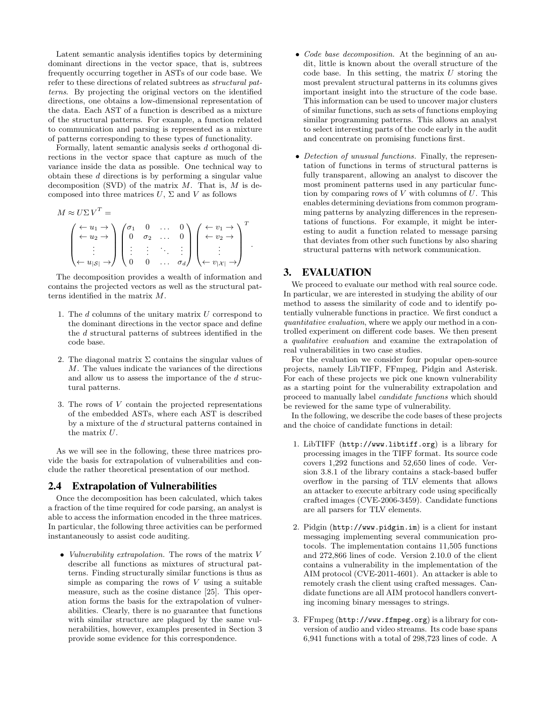Latent semantic analysis identifies topics by determining dominant directions in the vector space, that is, subtrees frequently occurring together in ASTs of our code base. We refer to these directions of related subtrees as structural patterns. By projecting the original vectors on the identified directions, one obtains a low-dimensional representation of the data. Each AST of a function is described as a mixture of the structural patterns. For example, a function related to communication and parsing is represented as a mixture of patterns corresponding to these types of functionality.

Formally, latent semantic analysis seeks d orthogonal directions in the vector space that capture as much of the variance inside the data as possible. One technical way to obtain these d directions is by performing a singular value decomposition (SVD) of the matrix  $M$ . That is,  $M$  is decomposed into three matrices  $U$ ,  $\Sigma$  and  $V$  as follows

$$
M \approx U\Sigma V^{T} =
$$
\n
$$
\begin{pmatrix}\n\leftarrow u_{1} \rightarrow \\
\leftarrow u_{2} \rightarrow \\
\vdots \\
\leftarrow u_{|\mathcal{S}|} \rightarrow\n\end{pmatrix}\n\begin{pmatrix}\n\sigma_{1} & 0 & \dots & 0 \\
0 & \sigma_{2} & \dots & 0 \\
\vdots & \vdots & \ddots & \vdots \\
0 & 0 & \dots & \sigma_{d}\n\end{pmatrix}\n\begin{pmatrix}\n\leftarrow v_{1} \rightarrow \\
\leftarrow v_{2} \rightarrow \\
\vdots \\
\leftarrow v_{|\mathcal{X}|} \rightarrow\n\end{pmatrix}^{T}.
$$

The decomposition provides a wealth of information and contains the projected vectors as well as the structural patterns identified in the matrix M.

- 1. The  $d$  columns of the unitary matrix  $U$  correspond to the dominant directions in the vector space and define the d structural patterns of subtrees identified in the code base.
- 2. The diagonal matrix  $\Sigma$  contains the singular values of M. The values indicate the variances of the directions and allow us to assess the importance of the  $d$  structural patterns.
- 3. The rows of V contain the projected representations of the embedded ASTs, where each AST is described by a mixture of the d structural patterns contained in the matrix U.

As we will see in the following, these three matrices provide the basis for extrapolation of vulnerabilities and conclude the rather theoretical presentation of our method.

## 2.4 Extrapolation of Vulnerabilities

Once the decomposition has been calculated, which takes a fraction of the time required for code parsing, an analyst is able to access the information encoded in the three matrices. In particular, the following three activities can be performed instantaneously to assist code auditing.

• Vulnerability extrapolation. The rows of the matrix  $V$ describe all functions as mixtures of structural patterns. Finding structurally similar functions is thus as simple as comparing the rows of  $V$  using a suitable measure, such as the cosine distance [25]. This operation forms the basis for the extrapolation of vulnerabilities. Clearly, there is no guarantee that functions with similar structure are plagued by the same vulnerabilities, however, examples presented in Section 3 provide some evidence for this correspondence.

- Code base decomposition. At the beginning of an audit, little is known about the overall structure of the code base. In this setting, the matrix  $U$  storing the most prevalent structural patterns in its columns gives important insight into the structure of the code base. This information can be used to uncover major clusters of similar functions, such as sets of functions employing similar programming patterns. This allows an analyst to select interesting parts of the code early in the audit and concentrate on promising functions first.
- Detection of unusual functions. Finally, the representation of functions in terms of structural patterns is fully transparent, allowing an analyst to discover the most prominent patterns used in any particular function by comparing rows of  $V$  with columns of  $U$ . This enables determining deviations from common programming patterns by analyzing differences in the representations of functions. For example, it might be interesting to audit a function related to message parsing that deviates from other such functions by also sharing structural patterns with network communication.

# 3. EVALUATION

We proceed to evaluate our method with real source code. In particular, we are interested in studying the ability of our method to assess the similarity of code and to identify potentially vulnerable functions in practice. We first conduct a quantitative evaluation, where we apply our method in a controlled experiment on different code bases. We then present a qualitative evaluation and examine the extrapolation of real vulnerabilities in two case studies.

For the evaluation we consider four popular open-source projects, namely LibTIFF, FFmpeg, Pidgin and Asterisk. For each of these projects we pick one known vulnerability as a starting point for the vulnerability extrapolation and proceed to manually label candidate functions which should be reviewed for the same type of vulnerability.

In the following, we describe the code bases of these projects and the choice of candidate functions in detail:

- 1. LibTIFF (http://www.libtiff.org) is a library for processing images in the TIFF format. Its source code covers 1,292 functions and 52,650 lines of code. Version 3.8.1 of the library contains a stack-based buffer overflow in the parsing of TLV elements that allows an attacker to execute arbitrary code using specifically crafted images (CVE-2006-3459). Candidate functions are all parsers for TLV elements.
- 2. Pidgin (http://www.pidgin.im) is a client for instant messaging implementing several communication protocols. The implementation contains 11,505 functions and 272,866 lines of code. Version 2.10.0 of the client contains a vulnerability in the implementation of the AIM protocol (CVE-2011-4601). An attacker is able to remotely crash the client using crafted messages. Candidate functions are all AIM protocol handlers converting incoming binary messages to strings.
- 3. FFmpeg (http://www.ffmpeg.org) is a library for conversion of audio and video streams. Its code base spans 6,941 functions with a total of 298,723 lines of code. A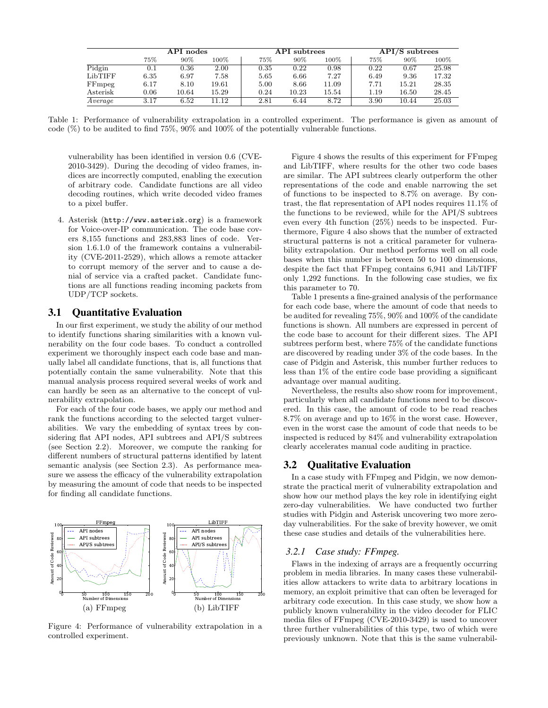|          | API nodes |        | API subtrees |      |       | $API/S$ subtrees |      |       |       |
|----------|-----------|--------|--------------|------|-------|------------------|------|-------|-------|
|          | 75%       | $90\%$ | $100\%$      | 75%  | 90%   | $100\%$          | 75%  | 90%   | 100%  |
| Pidgin   | 0.1       | 0.36   | 2.00         | 0.35 | 0.22  | 0.98             | 0.22 | 0.67  | 25.98 |
| LibTIFF  | 6.35      | 6.97   | 7.58         | 5.65 | 6.66  | 7.27             | 6.49 | 9.36  | 17.32 |
| FFmpeg   | 6.17      | 8.10   | 19.61        | 5.00 | 8.66  | 11.09            | 7.71 | 15.21 | 28.35 |
| Asterisk | 0.06      | 10.64  | 15.29        | 0.24 | 10.23 | 15.54            | 1.19 | 16.50 | 28.45 |
| Average  | 3.17      | 6.52   | 11.12        | 2.81 | 6.44  | 8.72             | 3.90 | 10.44 | 25.03 |

Table 1: Performance of vulnerability extrapolation in a controlled experiment. The performance is given as amount of code (%) to be audited to find 75%, 90% and 100% of the potentially vulnerable functions.

vulnerability has been identified in version 0.6 (CVE-2010-3429). During the decoding of video frames, indices are incorrectly computed, enabling the execution of arbitrary code. Candidate functions are all video decoding routines, which write decoded video frames to a pixel buffer.

4. Asterisk (http://www.asterisk.org) is a framework for Voice-over-IP communication. The code base covers 8,155 functions and 283,883 lines of code. Version 1.6.1.0 of the framework contains a vulnerability (CVE-2011-2529), which allows a remote attacker to corrupt memory of the server and to cause a denial of service via a crafted packet. Candidate functions are all functions reading incoming packets from UDP/TCP sockets.

#### 3.1 Quantitative Evaluation

In our first experiment, we study the ability of our method to identify functions sharing similarities with a known vulnerability on the four code bases. To conduct a controlled experiment we thoroughly inspect each code base and manually label all candidate functions, that is, all functions that potentially contain the same vulnerability. Note that this manual analysis process required several weeks of work and can hardly be seen as an alternative to the concept of vulnerability extrapolation.

For each of the four code bases, we apply our method and rank the functions according to the selected target vulnerabilities. We vary the embedding of syntax trees by considering flat API nodes, API subtrees and API/S subtrees (see Section 2.2). Moreover, we compute the ranking for different numbers of structural patterns identified by latent semantic analysis (see Section 2.3). As performance measure we assess the efficacy of the vulnerability extrapolation by measuring the amount of code that needs to be inspected for finding all candidate functions.



Figure 4: Performance of vulnerability extrapolation in a controlled experiment.

Figure 4 shows the results of this experiment for FFmpeg and LibTIFF, where results for the other two code bases are similar. The API subtrees clearly outperform the other representations of the code and enable narrowing the set of functions to be inspected to 8.7% on average. By contrast, the flat representation of API nodes requires 11.1% of the functions to be reviewed, while for the API/S subtrees even every 4th function (25%) needs to be inspected. Furthermore, Figure 4 also shows that the number of extracted structural patterns is not a critical parameter for vulnerability extrapolation. Our method performs well on all code bases when this number is between 50 to 100 dimensions, despite the fact that FFmpeg contains 6,941 and LibTIFF only 1,292 functions. In the following case studies, we fix this parameter to 70.

Table 1 presents a fine-grained analysis of the performance for each code base, where the amount of code that needs to be audited for revealing 75%, 90% and 100% of the candidate functions is shown. All numbers are expressed in percent of the code base to account for their different sizes. The API subtrees perform best, where 75% of the candidate functions are discovered by reading under 3% of the code bases. In the case of Pidgin and Asterisk, this number further reduces to less than 1% of the entire code base providing a significant advantage over manual auditing.

Nevertheless, the results also show room for improvement, particularly when all candidate functions need to be discovered. In this case, the amount of code to be read reaches 8.7% on average and up to 16% in the worst case. However, even in the worst case the amount of code that needs to be inspected is reduced by 84% and vulnerability extrapolation clearly accelerates manual code auditing in practice.

#### 3.2 Qualitative Evaluation

In a case study with FFmpeg and Pidgin, we now demonstrate the practical merit of vulnerability extrapolation and show how our method plays the key role in identifying eight zero-day vulnerabilities. We have conducted two further studies with Pidgin and Asterisk uncovering two more zeroday vulnerabilities. For the sake of brevity however, we omit these case studies and details of the vulnerabilities here.

#### *3.2.1 Case study: FFmpeg.*

Flaws in the indexing of arrays are a frequently occurring problem in media libraries. In many cases these vulnerabilities allow attackers to write data to arbitrary locations in memory, an exploit primitive that can often be leveraged for arbitrary code execution. In this case study, we show how a publicly known vulnerability in the video decoder for FLIC media files of FFmpeg (CVE-2010-3429) is used to uncover three further vulnerabilities of this type, two of which were previously unknown. Note that this is the same vulnerabil-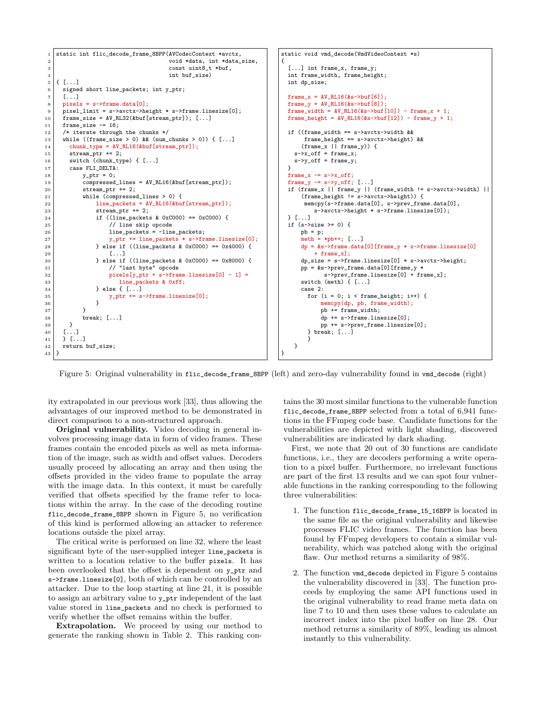

Figure 5: Original vulnerability in flic\_decode\_frame\_8BPP (left) and zero-day vulnerability found in vmd\_decode (right)

ity extrapolated in our previous work [33], thus allowing the advantages of our improved method to be demonstrated in direct comparison to a non-structured approach.

Original vulnerability. Video decoding in general involves processing image data in form of video frames. These frames contain the encoded pixels as well as meta information of the image, such as width and offset values. Decoders usually proceed by allocating an array and then using the offsets provided in the video frame to populate the array with the image data. In this context, it must be carefully verified that offsets specified by the frame refer to locations within the array. In the case of the decoding routine flic\_decode\_frame\_8BPP shown in Figure 5, no verification of this kind is performed allowing an attacker to reference locations outside the pixel array.

The critical write is performed on line 32, where the least significant byte of the user-supplied integer line\_packets is written to a location relative to the buffer pixels. It has been overlooked that the offset is dependent on y\_ptr and s->frame.linesize[0], both of which can be controlled by an attacker. Due to the loop starting at line 21, it is possible to assign an arbitrary value to y\_ptr independent of the last value stored in line\_packets and no check is performed to verify whether the offset remains within the buffer.

Extrapolation. We proceed by using our method to generate the ranking shown in Table 2. This ranking contains the 30 most similar functions to the vulnerable function flic decode frame 8BPP selected from a total of 6,941 functions in the FFmpeg code base. Candidate functions for the vulnerabilities are depicted with light shading, discovered vulnerabilities are indicated by dark shading.

First, we note that 20 out of 30 functions are candidate functions, i.e., they are decoders performing a write operation to a pixel buffer. Furthermore, no irrelevant functions are part of the first 13 results and we can spot four vulnerable functions in the ranking corresponding to the following three vulnerabilities:

- 1. The function flic\_decode\_frame\_15\_16BPP is located in the same file as the original vulnerability and likewise processes FLIC video frames. The function has been found by FFmpeg developers to contain a similar vulnerability, which was patched along with the original flaw. Our method returns a similarity of 98%.
- 2. The function vmd\_decode depicted in Figure 5 contains the vulnerability discovered in [33]. The function proceeds by employing the same API functions used in the original vulnerability to read frame meta data on line 7 to 10 and then uses these values to calculate an incorrect index into the pixel buffer on line 28. Our method returns a similarity of 89%, leading us almost instantly to this vulnerability.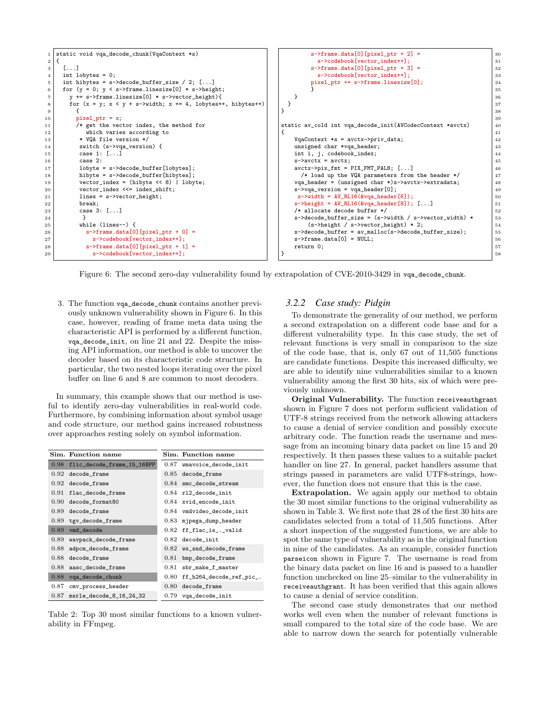| $\overline{2}$ | 1   static void vqa_decode_chunk(VqaContext *s)                   | $s$ ->frame.data[0][pixel_ptr + 2] =                             | 30 |
|----------------|-------------------------------------------------------------------|------------------------------------------------------------------|----|
|                |                                                                   |                                                                  |    |
|                |                                                                   | s->codebook[vector_index++];                                     | 31 |
| 3              | [1, 1]                                                            | $s$ ->frame.data[0][pixel_ptr + 3] =                             | 32 |
| $\overline{4}$ | int lobytes = $0$ ;                                               | s->codebook[vector_index++];                                     | 33 |
| 5              | int hibytes = $s$ ->decode_buffer_size / 2; []                    | $pixel_ptr$ += $s$ ->frame.linesize $[0]$ ;                      | 34 |
| 6              | for $(y = 0; y < s$ ->frame.linesize[0] * s->height;              |                                                                  | 35 |
| $\overline{7}$ | $y$ += s->frame.linesize[0] * s->vector_height){                  |                                                                  | 36 |
| 8              | for $(x = y; x < y + s$ ->width; $x += 4$ , lobytes++, hibytes++) |                                                                  | 37 |
| 9              |                                                                   |                                                                  | 38 |
| 10             | $pixel_ptr = x;$                                                  |                                                                  | 39 |
| 11             | /* get the vector index, the method for                           | static av_cold int vqa_decode_init(AVCodecContext *avctx)        | 40 |
| $12\,$         | which varies according to                                         |                                                                  | 41 |
| 13             | * VOA file version */                                             | $VqaContext *s = avctx->priv_data;$                              | 42 |
| 14             | switch (s->vqa_version) {                                         | unsigned char *vqa_header;                                       | 43 |
| $15\,$         | case 1: []                                                        | int i, j, codebook_index;                                        | 44 |
| 16             | case 2:                                                           | $s$ ->avctx = avctx:                                             | 45 |
| 17             | $lobyte = s-\lambda decode_buffer [lobytes];$                     | $avctx->pix_fmt = PIX_FMT_PAL8; []$                              | 46 |
| 18             | hibyte = $s$ ->decode_buffer[hibytes];                            | /* load up the VQA parameters from the header */                 | 47 |
| 19             | $vector_index = (hibyte << 8)   lobyte;$                          | $vqa_{\text{1}}$ header = (unsigned char *)s->avctx->extradata;  | 48 |
| 20             | vector_index <<= index_shift;                                     | $s$ ->vqa_version = vqa_header $[0]$ ;                           | 49 |
| 21             | $lines = s$ ->vector_height;                                      | $s$ ->width = $AV_RL16(kvqa_{\text{header}}[6])$ ;               | 50 |
| 22             | break:                                                            | $s$ ->height = AV_RL16(&vqa_header[8]); []                       | 51 |
| 23             | case 3: []                                                        | /* allocate decode buffer */                                     | 52 |
| 24             |                                                                   | $s$ ->decode_buffer_size = $(s$ ->width / $s$ ->vector_width) *  | 53 |
| 25             | while $(lines--)$ f                                               | $(s$ ->height / s->vector_height) * 2;                           | 54 |
| 26             | $s$ ->frame.data[0][pixel_ptr + 0] =                              | $s$ ->decode_buffer = $av_{m}$ alloc( $s$ ->decode_buffer_size); | 55 |
| 27             | s->codebook[vector_index++];                                      | $s$ ->frame.data $[0]$ = NULL;                                   | 56 |
| 28             | $s$ ->frame.data[0][pixel_ptr + 1] =                              | return 0;                                                        | 57 |
| 29             | s->codebook[vector_index++];                                      |                                                                  | 58 |

Figure 6: The second zero-day vulnerability found by extrapolation of CVE-2010-3429 in vqa\_decode\_chunk.

3. The function vqa\_decode\_chunk contains another previously unknown vulnerability shown in Figure 6. In this case, however, reading of frame meta data using the characteristic API is performed by a different function, vqa\_decode\_init, on line 21 and 22. Despite the missing API information, our method is able to uncover the decoder based on its characteristic code structure. In particular, the two nested loops iterating over the pixel buffer on line 6 and 8 are common to most decoders.

In summary, this example shows that our method is useful to identify zero-day vulnerabilities in real-world code. Furthermore, by combining information about symbol usage and code structure, our method gains increased robustness over approaches resting solely on symbol information.

|      | Sim. Function name              |      | Sim. Function name         |
|------|---------------------------------|------|----------------------------|
|      | 0.98 flic_decode_frame_15_16BPP | 0.87 | wmavoice_decode_init       |
| 0.92 | decode_frame                    |      | $0.85$ decode_frame        |
|      | $0.92$ decode_frame             |      | $0.84$ smc_decode_stream   |
|      | $0.91$ flac_decode_frame        |      | $0.84$ rl2_decode_init     |
|      | 0.90 decode_format80            | 0.84 | xvid_encode_init           |
|      | $0.89$ decode frame             | 0.84 | vmdvideo_decode_init       |
|      | $0.89$ tgv_decode_frame         | 0.83 | mjpega_dump_header         |
| 0.89 | vmd decode                      | 0.82 | ff_flac_is_._valid         |
| 0.89 | wavpack_decode_frame            |      | $0.82$ decode_init         |
| 0.88 | adpcm_decode_frame              |      | $0.82$ ws_snd_decode_frame |
| 0.88 | decode frame                    | 0.81 | bmp_decode_frame           |
| 0.88 | aasc_decode_frame               | 0.81 | sbr_make_f_master          |
| 0.88 | vqa_decode_chunk                | 0.80 | ff_h264_decode_ref_pic_.   |
| 0.87 | cmv_process_header              | 0.80 | decode_frame               |
| 0.87 | msrle_decode_8_16_24_32         | 0.79 | vqa_decode_init            |

Table 2: Top 30 most similar functions to a known vulnerability in FFmpeg.

#### *3.2.2 Case study: Pidgin*

To demonstrate the generality of our method, we perform a second extrapolation on a different code base and for a different vulnerability type. In this case study, the set of relevant functions is very small in comparison to the size of the code base, that is, only 67 out of 11,505 functions are candidate functions. Despite this increased difficulty, we are able to identify nine vulnerabilities similar to a known vulnerability among the first 30 hits, six of which were previously unknown.

Original Vulnerability. The function receiveauthgrant shown in Figure 7 does not perform sufficient validation of UTF-8 strings received from the network allowing attackers to cause a denial of service condition and possibly execute arbitrary code. The function reads the username and message from an incoming binary data packet on line 15 and 20 respectively. It then passes these values to a suitable packet handler on line 27. In general, packet handlers assume that strings passed in parameters are valid UTF8-strings, however, the function does not ensure that this is the case.

Extrapolation. We again apply our method to obtain the 30 most similar functions to the original vulnerability as shown in Table 3. We first note that 28 of the first 30 hits are candidates selected from a total of 11,505 functions. After a short inspection of the suggested functions, we are able to spot the same type of vulnerability as in the original function in nine of the candidates. As an example, consider function parseicon shown in Figure 7. The username is read from the binary data packet on line 16 and is passed to a handler function unchecked on line 25–similar to the vulnerability in receiveauthgrant. It has been verified that this again allows to cause a denial of service condition.

The second case study demonstrates that our method works well even when the number of relevant functions is small compared to the total size of the code base. We are able to narrow down the search for potentially vulnerable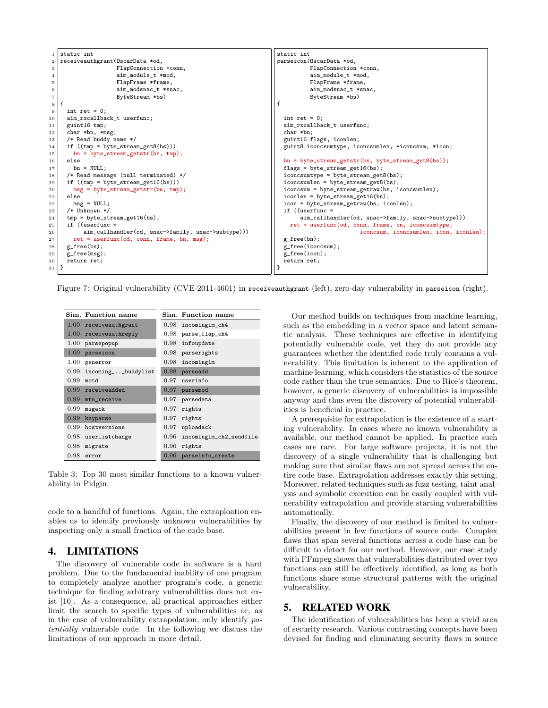| 1                 | static int                                         | static int                                             |
|-------------------|----------------------------------------------------|--------------------------------------------------------|
| $\,2$             | receiveauthgrant (OscarData *od,                   | parseicon(OscarData *od,                               |
| 3                 | FlapConnection *conn,                              | FlapConnection *conn,                                  |
| 4                 | aim_module_t *mod,                                 | aim_module_t *mod,                                     |
| 5                 | FlapFrame *frame,                                  | FlapFrame *frame,                                      |
| 6                 | aim_modsnac_t *snac,                               | aim_modsnac_t *snac,                                   |
| $\scriptstyle{7}$ | ByteStream *bs)                                    | ByteStream *bs)                                        |
| 8                 |                                                    | €                                                      |
| $\,9$             | int ret = $0$ ;                                    |                                                        |
| 10                | aim_rxcallback_t userfunc;                         | int ret = $0$ ;                                        |
| 11                | guint16 tmp;                                       | aim_rxcallback_t userfunc;                             |
| 12                | char *bn, *msg;                                    | char *bn:                                              |
| 13                | /* Read buddy name $*/$                            | guint16 flags, iconlen;                                |
| 14                | if $((tmp = byte-stream_set8(bs)))$                | guint8 iconcsumtype, iconcsumlen, *iconcsum, *icon;    |
| 15                | $bn = byte_stream_getstr(bs, tmp);$                |                                                        |
| 16                | else                                               | $bn = byte_stream\_getstr(bs, byte_stream\_get8(bs));$ |
| 17                | $bn = NULL;$                                       | $flags = byte\_stream\_get16(bs);$                     |
| 18                | /* Read message (null terminated) */               | $iconcsumtype = byte\_stream\_get8(bs);$               |
| 19                | if $((tmp = byte-stream_set16(bs)))$               | $iconcsumlen = byte_stream_set8(bs);$                  |
| 20                | $msg = byte\_stream\_getstr(bs, tmp);$             | iconcsum = byte_stream_getraw(bs, iconcsumlen);        |
| $^{21}$           | else                                               | $iconlen = byte\_stream\_get16(bs);$                   |
| 22                | $msg = NULL;$                                      | icon = byte_stream_getraw(bs, iconlen);                |
| 23                | $/*$ Unknown $*/$                                  | if $($ (userfunc =                                     |
| 24                | $tmp = byte-stream_set16(bs);$                     | aim_callhandler(od, snac->family, snac->subtype)))     |
| 25                | if $($ (userfunc =                                 | ret = userfunc(od, conn, frame, bn, iconcsumtype,      |
| 26                | aim_callhandler(od, snac->family, snac->subtype))) | iconcsum, iconcsumlen, icon, iconlen);                 |
| 27                | $ret = userfunc(od, conn, frame, bn, msg);$        | $g$ _free(bn);                                         |
| 28                | $g$ _free(bn);                                     | $g$ _free(iconcsum);                                   |
| 29                | $g_free(msg);$                                     | g_free(icon);                                          |
| 30                | return ret;                                        | return ret;                                            |
| 31   }            |                                                    |                                                        |

Figure 7: Original vulnerability (CVE-2011-4601) in receiveauthgrant (left), zero-day vulnerability in parseicon (right).

|      | Sim. Function name       | Sim. Function name           |
|------|--------------------------|------------------------------|
|      | $1.00$ receiveauthgrant  | 0.98 incomingim_ch4          |
|      | $1.00$ receiveauthreply  | 0.98 parse_flap_ch4          |
|      | 1.00 parsepopup          | $0.98$ infoupdate            |
|      | $1.00$ parseicon         | $0.98$ parserights           |
|      | $1.00$ generror          | $0.98$ incomingim            |
|      | 0.99 incoming__buddylist | $0.98$ parseadd              |
| 0.99 | motd                     | $0.97$ userinfo              |
|      | $0.99$ receiveadded      | $0.97$ parsemod              |
|      | $0.99$ mtn_receive       | $0.97$ parsedata             |
|      | $0.99$ msgack            | $0.97$ rights                |
|      | $0.99$ keyparse          | $0.97$ rights                |
|      | $0.99$ hostversions      | $0.97$ uploadack             |
|      | $0.98$ userlistchange    | 0.96 incomingim_ch2_sendfile |
|      | $0.98$ migrate           | $0.96$ rights                |
| 0.98 | error                    | 0.96 parseinfo_create        |

Table 3: Top 30 most similar functions to a known vulnerability in Pidgin.

code to a handful of functions. Again, the extraploation enables us to identify previously unknown vulnerabilities by inspecting only a small fraction of the code base.

### 4. LIMITATIONS

The discovery of vulnerable code in software is a hard problem. Due to the fundamental inability of one program to completely analyze another program's code, a generic technique for finding arbitrary vulnerabilities does not exist [10]. As a consequence, all practical approaches either limit the search to specific types of vulnerabilities or, as in the case of vulnerability extrapolation, only identify potentially vulnerable code. In the following we discuss the limitations of our approach in more detail.

Our method builds on techniques from machine learning, such as the embedding in a vector space and latent semantic analysis. These techniques are effective in identifying potentially vulnerable code, yet they do not provide any guarantees whether the identified code truly contains a vulnerability. This limitation is inherent to the application of machine learning, which considers the statistics of the source code rather than the true semantics. Due to Rice's theorem, however, a generic discovery of vulnerabilities is impossible anyway and thus even the discovery of potential vulnerabilities is beneficial in practice.

A prerequisite for extrapolation is the existence of a starting vulnerability. In cases where no known vulnerability is available, our method cannot be applied. In practice such cases are rare. For large software projects, it is not the discovery of a single vulnerability that is challenging but making sure that similar flaws are not spread across the entire code base. Extrapolation addresses exactly this setting. Moreover, related techniques such as fuzz testing, taint analysis and symbolic execution can be easily coupled with vulnerability extrapolation and provide starting vulnerabilities automatically.

Finally, the discovery of our method is limited to vulnerabilities present in few functions of source code. Complex flaws that span several functions across a code base can be difficult to detect for our method. However, our case study with FFmpeg shows that vulnerabilities distributed over two functions can still be effectively identified, as long as both functions share some structural patterns with the original vulnerability.

### 5. RELATED WORK

The identification of vulnerabilities has been a vivid area of security research. Various contrasting concepts have been devised for finding and eliminating security flaws in source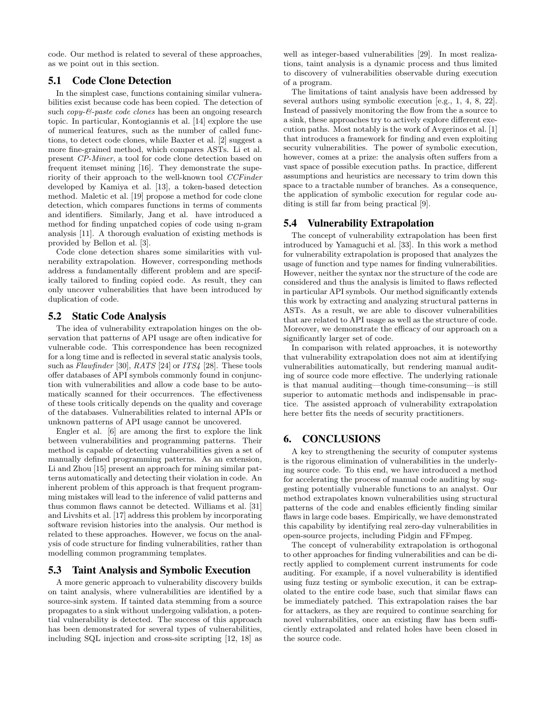code. Our method is related to several of these approaches, as we point out in this section.

## 5.1 Code Clone Detection

In the simplest case, functions containing similar vulnerabilities exist because code has been copied. The detection of such *copy-*&-paste code clones has been an ongoing research topic. In particular, Kontogiannis et al. [14] explore the use of numerical features, such as the number of called functions, to detect code clones, while Baxter et al. [2] suggest a more fine-grained method, which compares ASTs. Li et al. present CP-Miner, a tool for code clone detection based on frequent itemset mining [16]. They demonstrate the superiority of their approach to the well-known tool CCFinder developed by Kamiya et al. [13], a token-based detection method. Maletic et al. [19] propose a method for code clone detection, which compares functions in terms of comments and identifiers. Similarly, Jang et al. have introduced a method for finding unpatched copies of code using n-gram analysis [11]. A thorough evaluation of existing methods is provided by Bellon et al. [3].

Code clone detection shares some similarities with vulnerability extrapolation. However, corresponding methods address a fundamentally different problem and are specifically tailored to finding copied code. As result, they can only uncover vulnerabilities that have been introduced by duplication of code.

#### 5.2 Static Code Analysis

The idea of vulnerability extrapolation hinges on the observation that patterns of API usage are often indicative for vulnerable code. This correspondence has been recognized for a long time and is reflected in several static analysis tools, such as *Flawfinder* [30], *RATS* [24] or *ITS*<sup>4</sup> [28]. These tools offer databases of API symbols commonly found in conjunction with vulnerabilities and allow a code base to be automatically scanned for their occurrences. The effectiveness of these tools critically depends on the quality and coverage of the databases. Vulnerabilities related to internal APIs or unknown patterns of API usage cannot be uncovered.

Engler et al. [6] are among the first to explore the link between vulnerabilities and programming patterns. Their method is capable of detecting vulnerabilities given a set of manually defined programming patterns. As an extension, Li and Zhou [15] present an approach for mining similar patterns automatically and detecting their violation in code. An inherent problem of this approach is that frequent programming mistakes will lead to the inference of valid patterns and thus common flaws cannot be detected. Williams et al. [31] and Livshits et al. [17] address this problem by incorporating software revision histories into the analysis. Our method is related to these approaches. However, we focus on the analysis of code structure for finding vulnerabilities, rather than modelling common programming templates.

## 5.3 Taint Analysis and Symbolic Execution

A more generic approach to vulnerability discovery builds on taint analysis, where vulnerabilities are identified by a source-sink system. If tainted data stemming from a source propagates to a sink without undergoing validation, a potential vulnerability is detected. The success of this approach has been demonstrated for several types of vulnerabilities, including SQL injection and cross-site scripting [12, 18] as well as integer-based vulnerabilities [29]. In most realizations, taint analysis is a dynamic process and thus limited to discovery of vulnerabilities observable during execution of a program.

The limitations of taint analysis have been addressed by several authors using symbolic execution [e.g., 1, 4, 8, 22]. Instead of passively monitoring the flow from the a source to a sink, these approaches try to actively explore different execution paths. Most notably is the work of Avgerinos et al. [1] that introduces a framework for finding and even exploiting security vulnerabilities. The power of symbolic execution, however, comes at a prize: the analysis often suffers from a vast space of possible execution paths. In practice, different assumptions and heuristics are necessary to trim down this space to a tractable number of branches. As a consequence, the application of symbolic execution for regular code auditing is still far from being practical [9].

#### 5.4 Vulnerability Extrapolation

The concept of vulnerability extrapolation has been first introduced by Yamaguchi et al. [33]. In this work a method for vulnerability extrapolation is proposed that analyzes the usage of function and type names for finding vulnerabilities. However, neither the syntax nor the structure of the code are considered and thus the analysis is limited to flaws reflected in particular API symbols. Our method significantly extends this work by extracting and analyzing structural patterns in ASTs. As a result, we are able to discover vulnerabilities that are related to API usage as well as the structure of code. Moreover, we demonstrate the efficacy of our approach on a significantly larger set of code.

In comparison with related approaches, it is noteworthy that vulnerability extrapolation does not aim at identifying vulnerabilities automatically, but rendering manual auditing of source code more effective. The underlying rationale is that manual auditing—though time-consuming—is still superior to automatic methods and indispensable in practice. The assisted approach of vulnerability extrapolation here better fits the needs of security practitioners.

## 6. CONCLUSIONS

A key to strengthening the security of computer systems is the rigorous elimination of vulnerabilities in the underlying source code. To this end, we have introduced a method for accelerating the process of manual code auditing by suggesting potentially vulnerable functions to an analyst. Our method extrapolates known vulnerabilities using structural patterns of the code and enables efficiently finding similar flaws in large code bases. Empirically, we have demonstrated this capability by identifying real zero-day vulnerabilities in open-source projects, including Pidgin and FFmpeg.

The concept of vulnerability extrapolation is orthogonal to other approaches for finding vulnerabilities and can be directly applied to complement current instruments for code auditing. For example, if a novel vulnerability is identified using fuzz testing or symbolic execution, it can be extrapolated to the entire code base, such that similar flaws can be immediately patched. This extrapolation raises the bar for attackers, as they are required to continue searching for novel vulnerabilities, once an existing flaw has been sufficiently extrapolated and related holes have been closed in the source code.